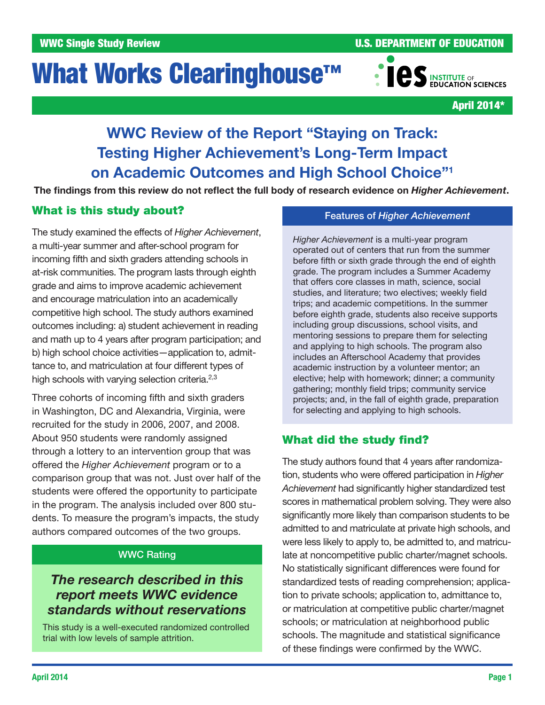# What Works Clearinghouse<sup>™</sup>



April 2014\*

# WWC Review of the Report "Staying on Track: Testing Higher Achievement's Long-Term Impact on Academic Outcomes and High School Choice"1

The findings from this review do not reflect the full body of research evidence on *Higher Achievement*.

# What is this study about?

The study examined the effects of *Higher Achievement*, a multi-year summer and after-school program for incoming fifth and sixth graders attending schools in at-risk communities. The program lasts through eighth grade and aims to improve academic achievement and encourage matriculation into an academically competitive high school. The study authors examined outcomes including: a) student achievement in reading and math up to 4 years after program participation; and b) high school choice activities—application to, admittance to, and matriculation at four different types of high schools with varying selection criteria. $2,3$ 

Three cohorts of incoming fifth and sixth graders in Washington, DC and Alexandria, Virginia, were recruited for the study in 2006, 2007, and 2008. About 950 students were randomly assigned through a lottery to an intervention group that was offered the *Higher Achievement* program or to a comparison group that was not. Just over half of the students were offered the opportunity to participate in the program. The analysis included over 800 students. To measure the program's impacts, the study authors compared outcomes of the two groups.

# WWC Rating

# *The research described in this report meets WWC evidence standards without reservations*

This study is a well-executed randomized controlled trial with low levels of sample attrition.

# Features of *Higher Achievement*

*Higher Achievement* is a multi-year program operated out of centers that run from the summer before fifth or sixth grade through the end of eighth grade. The program includes a Summer Academy that offers core classes in math, science, social studies, and literature; two electives; weekly field trips; and academic competitions. In the summer before eighth grade, students also receive supports including group discussions, school visits, and mentoring sessions to prepare them for selecting and applying to high schools. The program also includes an Afterschool Academy that provides academic instruction by a volunteer mentor; an elective; help with homework; dinner; a community gathering; monthly field trips; community service projects; and, in the fall of eighth grade, preparation for selecting and applying to high schools.

# What did the study find?

The study authors found that 4 years after randomization, students who were offered participation in *Higher Achievement* had significantly higher standardized test scores in mathematical problem solving. They were also significantly more likely than comparison students to be admitted to and matriculate at private high schools, and were less likely to apply to, be admitted to, and matriculate at noncompetitive public charter/magnet schools. No statistically significant differences were found for standardized tests of reading comprehension; application to private schools; application to, admittance to, or matriculation at competitive public charter/magnet schools; or matriculation at neighborhood public schools. The magnitude and statistical significance of these findings were confirmed by the WWC.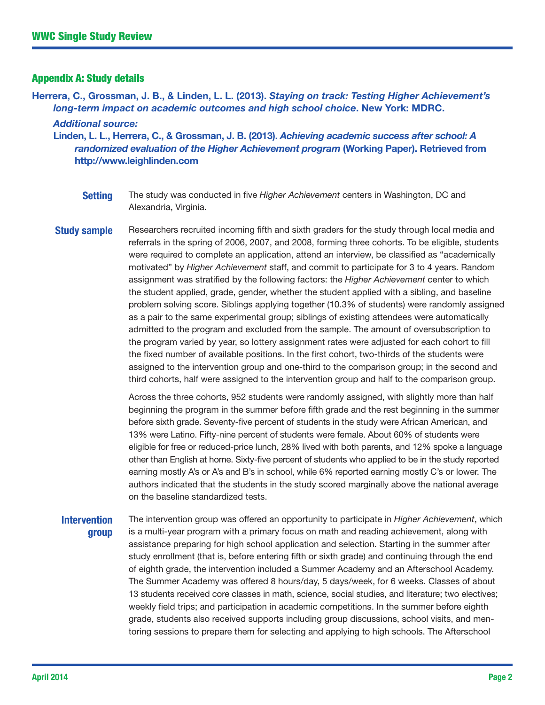#### Appendix A: Study details

Herrera, C., Grossman, J. B., & Linden, L. L. (2013). *Staying on track: Testing Higher Achievement's long-term impact on academic outcomes and high school choice*. New York: MDRC. *Additional source:*

Linden, L. L., Herrera, C., & Grossman, J. B. (2013). *Achieving academic success after school: A randomized evaluation of the Higher Achievement program* (Working Paper). Retrieved from <http://www.leighlinden.com>

- Setting The study was conducted in five *Higher Achievement* centers in Washington, DC and Alexandria, Virginia.
- **Study sample** Researchers recruited incoming fifth and sixth graders for the study through local media and referrals in the spring of 2006, 2007, and 2008, forming three cohorts. To be eligible, students were required to complete an application, attend an interview, be classified as "academically motivated" by *Higher Achievement* staff, and commit to participate for 3 to 4 years. Random assignment was stratified by the following factors: the *Higher Achievement* center to which the student applied, grade, gender, whether the student applied with a sibling, and baseline problem solving score. Siblings applying together (10.3% of students) were randomly assigned as a pair to the same experimental group; siblings of existing attendees were automatically admitted to the program and excluded from the sample. The amount of oversubscription to the program varied by year, so lottery assignment rates were adjusted for each cohort to fill the fixed number of available positions. In the first cohort, two-thirds of the students were assigned to the intervention group and one-third to the comparison group; in the second and third cohorts, half were assigned to the intervention group and half to the comparison group.

Across the three cohorts, 952 students were randomly assigned, with slightly more than half beginning the program in the summer before fifth grade and the rest beginning in the summer before sixth grade. Seventy-five percent of students in the study were African American, and 13% were Latino. Fifty-nine percent of students were female. About 60% of students were eligible for free or reduced-price lunch, 28% lived with both parents, and 12% spoke a language other than English at home. Sixty-five percent of students who applied to be in the study reported earning mostly A's or A's and B's in school, while 6% reported earning mostly C's or lower. The authors indicated that the students in the study scored marginally above the national average on the baseline standardized tests.

#### **Intervention** group The intervention group was offered an opportunity to participate in *Higher Achievement*, which is a multi-year program with a primary focus on math and reading achievement, along with assistance preparing for high school application and selection. Starting in the summer after study enrollment (that is, before entering fifth or sixth grade) and continuing through the end of eighth grade, the intervention included a Summer Academy and an Afterschool Academy. The Summer Academy was offered 8 hours/day, 5 days/week, for 6 weeks. Classes of about 13 students received core classes in math, science, social studies, and literature; two electives; weekly field trips; and participation in academic competitions. In the summer before eighth grade, students also received supports including group discussions, school visits, and mentoring sessions to prepare them for selecting and applying to high schools. The Afterschool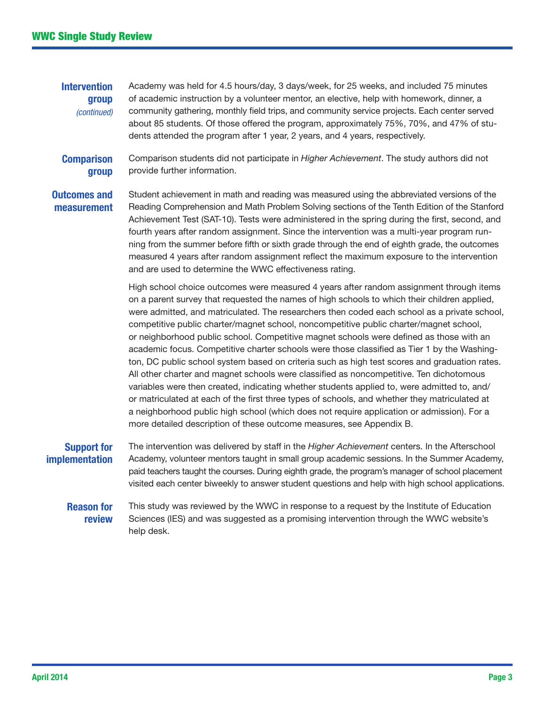**Intervention** group *(continued)* Academy was held for 4.5 hours/day, 3 days/week, for 25 weeks, and included 75 minutes of academic instruction by a volunteer mentor, an elective, help with homework, dinner, a community gathering, monthly field trips, and community service projects. Each center served about 85 students. Of those offered the program, approximately 75%, 70%, and 47% of students attended the program after 1 year, 2 years, and 4 years, respectively.

**Comparison** group Comparison students did not participate in *Higher Achievement*. The study authors did not provide further information.

Outcomes and measurement Student achievement in math and reading was measured using the abbreviated versions of the Reading Comprehension and Math Problem Solving sections of the Tenth Edition of the Stanford Achievement Test (SAT-10). Tests were administered in the spring during the first, second, and fourth years after random assignment. Since the intervention was a multi-year program running from the summer before fifth or sixth grade through the end of eighth grade, the outcomes measured 4 years after random assignment reflect the maximum exposure to the intervention and are used to determine the WWC effectiveness rating.

> High school choice outcomes were measured 4 years after random assignment through items on a parent survey that requested the names of high schools to which their children applied, were admitted, and matriculated. The researchers then coded each school as a private school, competitive public charter/magnet school, noncompetitive public charter/magnet school, or neighborhood public school. Competitive magnet schools were defined as those with an academic focus. Competitive charter schools were those classified as Tier 1 by the Washington, DC public school system based on criteria such as high test scores and graduation rates. All other charter and magnet schools were classified as noncompetitive. Ten dichotomous variables were then created, indicating whether students applied to, were admitted to, and/ or matriculated at each of the first three types of schools, and whether they matriculated at a neighborhood public high school (which does not require application or admission). For a more detailed description of these outcome measures, see Appendix B.

# Support for implementation

The intervention was delivered by staff in the *Higher Achievement* centers. In the Afterschool Academy, volunteer mentors taught in small group academic sessions. In the Summer Academy, paid teachers taught the courses. During eighth grade, the program's manager of school placement visited each center biweekly to answer student questions and help with high school applications.

## Reason for review

This study was reviewed by the WWC in response to a request by the Institute of Education Sciences (IES) and was suggested as a promising intervention through the WWC website's help desk.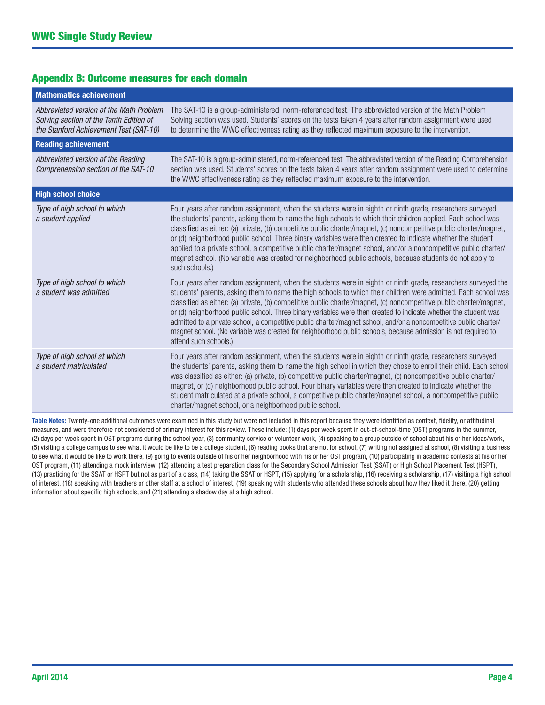## Appendix B: Outcome measures for each domain

| <b>Mathematics achievement</b>                                                                                               |                                                                                                                                                                                                                                                                                                                                                                                                                                                                                                                                                                                                                                                                                                                                          |
|------------------------------------------------------------------------------------------------------------------------------|------------------------------------------------------------------------------------------------------------------------------------------------------------------------------------------------------------------------------------------------------------------------------------------------------------------------------------------------------------------------------------------------------------------------------------------------------------------------------------------------------------------------------------------------------------------------------------------------------------------------------------------------------------------------------------------------------------------------------------------|
| Abbreviated version of the Math Problem<br>Solving section of the Tenth Edition of<br>the Stanford Achievement Test (SAT-10) | The SAT-10 is a group-administered, norm-referenced test. The abbreviated version of the Math Problem<br>Solving section was used. Students' scores on the tests taken 4 years after random assignment were used<br>to determine the WWC effectiveness rating as they reflected maximum exposure to the intervention.                                                                                                                                                                                                                                                                                                                                                                                                                    |
| <b>Reading achievement</b>                                                                                                   |                                                                                                                                                                                                                                                                                                                                                                                                                                                                                                                                                                                                                                                                                                                                          |
| Abbreviated version of the Reading<br>Comprehension section of the SAT-10                                                    | The SAT-10 is a group-administered, norm-referenced test. The abbreviated version of the Reading Comprehension<br>section was used. Students' scores on the tests taken 4 years after random assignment were used to determine<br>the WWC effectiveness rating as they reflected maximum exposure to the intervention.                                                                                                                                                                                                                                                                                                                                                                                                                   |
| <b>High school choice</b>                                                                                                    |                                                                                                                                                                                                                                                                                                                                                                                                                                                                                                                                                                                                                                                                                                                                          |
| Type of high school to which<br>a student applied                                                                            | Four years after random assignment, when the students were in eighth or ninth grade, researchers surveyed<br>the students' parents, asking them to name the high schools to which their children applied. Each school was<br>classified as either: (a) private, (b) competitive public charter/magnet, (c) noncompetitive public charter/magnet,<br>or (d) neighborhood public school. Three binary variables were then created to indicate whether the student<br>applied to a private school, a competitive public charter/magnet school, and/or a noncompetitive public charter/<br>magnet school. (No variable was created for neighborhood public schools, because students do not apply to<br>such schools.)                       |
| Type of high school to which<br>a student was admitted                                                                       | Four years after random assignment, when the students were in eighth or ninth grade, researchers surveyed the<br>students' parents, asking them to name the high schools to which their children were admitted. Each school was<br>classified as either: (a) private, (b) competitive public charter/magnet, (c) noncompetitive public charter/magnet,<br>or (d) neighborhood public school. Three binary variables were then created to indicate whether the student was<br>admitted to a private school, a competitive public charter/magnet school, and/or a noncompetitive public charter/<br>magnet school. (No variable was created for neighborhood public schools, because admission is not required to<br>attend such schools.) |
| Type of high school at which<br>a student matriculated                                                                       | Four years after random assignment, when the students were in eighth or ninth grade, researchers surveyed<br>the students' parents, asking them to name the high school in which they chose to enroll their child. Each school<br>was classified as either: (a) private, (b) competitive public charter/magnet, (c) noncompetitive public charter/<br>magnet, or (d) neighborhood public school. Four binary variables were then created to indicate whether the<br>student matriculated at a private school, a competitive public charter/magnet school, a noncompetitive public<br>charter/magnet school, or a neighborhood public school.                                                                                             |

Table Notes: Twenty-one additional outcomes were examined in this study but were not included in this report because they were identified as context, fidelity, or attitudinal measures, and were therefore not considered of primary interest for this review. These include: (1) days per week spent in out-of-school-time (OST) programs in the summer, (2) days per week spent in OST programs during the school year, (3) community service or volunteer work, (4) speaking to a group outside of school about his or her ideas/work, (5) visiting a college campus to see what it would be like to be a college student, (6) reading books that are not for school, (7) writing not assigned at school, (8) visiting a business to see what it would be like to work there, (9) going to events outside of his or her neighborhood with his or her OST program, (10) participating in academic contests at his or her OST program, (11) attending a mock interview, (12) attending a test preparation class for the Secondary School Admission Test (SSAT) or High School Placement Test (HSPT), (13) practicing for the SSAT or HSPT but not as part of a class, (14) taking the SSAT or HSPT, (15) applying for a scholarship, (16) receiving a scholarship, (17) visiting a high school of interest, (18) speaking with teachers or other staff at a school of interest, (19) speaking with students who attended these schools about how they liked it there, (20) getting information about specific high schools, and (21) attending a shadow day at a high school.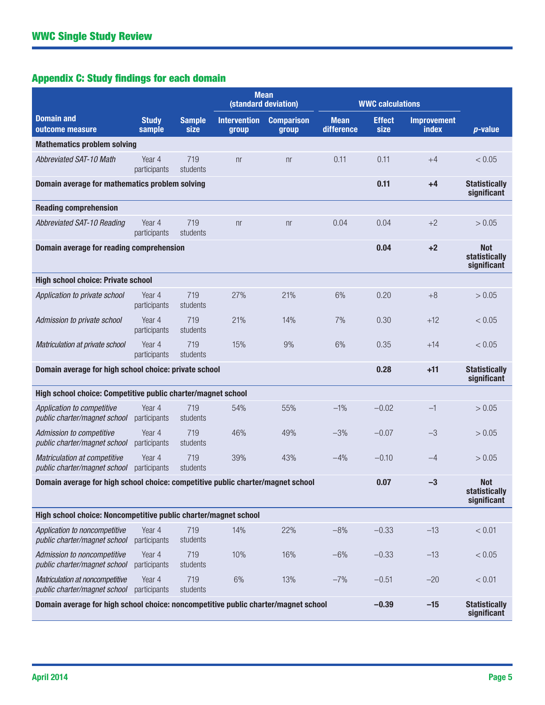# Appendix C: Study findings for each domain

|                                                                                    |                        |                       | <b>Mean</b><br>(standard deviation) |                            | <b>WWC calculations</b>   |                                     |                                     |                                            |
|------------------------------------------------------------------------------------|------------------------|-----------------------|-------------------------------------|----------------------------|---------------------------|-------------------------------------|-------------------------------------|--------------------------------------------|
| <b>Domain and</b><br>outcome measure                                               | <b>Study</b><br>sample | <b>Sample</b><br>size | <b>Intervention</b><br>group        | <b>Comparison</b><br>group | <b>Mean</b><br>difference | <b>Effect</b><br>size               | <b>Improvement</b><br>index         | $p$ -value                                 |
| <b>Mathematics problem solving</b>                                                 |                        |                       |                                     |                            |                           |                                     |                                     |                                            |
| Abbreviated SAT-10 Math                                                            | Year 4<br>participants | 719<br>students       | n <sub>r</sub>                      | n <sub>r</sub>             | 0.11                      | 0.11                                | $+4$                                | < 0.05                                     |
| Domain average for mathematics problem solving                                     |                        |                       |                                     |                            | 0.11                      | $+4$                                | <b>Statistically</b><br>significant |                                            |
| <b>Reading comprehension</b>                                                       |                        |                       |                                     |                            |                           |                                     |                                     |                                            |
| Abbreviated SAT-10 Reading                                                         | Year 4<br>participants | 719<br>students       | n <sub>r</sub>                      | n <sub>r</sub>             | 0.04                      | 0.04                                | $+2$                                | > 0.05                                     |
| Domain average for reading comprehension                                           |                        |                       |                                     |                            |                           | 0.04                                | $+2$                                | <b>Not</b><br>statistically<br>significant |
| <b>High school choice: Private school</b>                                          |                        |                       |                                     |                            |                           |                                     |                                     |                                            |
| Application to private school                                                      | Year 4<br>participants | 719<br>students       | 27%                                 | 21%                        | 6%                        | 0.20                                | $+8$                                | > 0.05                                     |
| Admission to private school                                                        | Year 4<br>participants | 719<br>students       | 21%                                 | 14%                        | 7%                        | 0.30                                | $+12$                               | < 0.05                                     |
| Matriculation at private school                                                    | Year 4<br>participants | 719<br>students       | 15%                                 | 9%                         | 6%                        | 0.35                                | $+14$                               | < 0.05                                     |
| Domain average for high school choice: private school                              |                        |                       |                                     | 0.28                       | $+11$                     | <b>Statistically</b><br>significant |                                     |                                            |
| High school choice: Competitive public charter/magnet school                       |                        |                       |                                     |                            |                           |                                     |                                     |                                            |
| Application to competitive<br>public charter/magnet school                         | Year 4<br>participants | 719<br>students       | 54%                                 | 55%                        | $-1%$                     | $-0.02$                             | $-1$                                | > 0.05                                     |
| Admission to competitive<br>public charter/magnet school                           | Year 4<br>participants | 719<br>students       | 46%                                 | 49%                        | $-3%$                     | $-0.07$                             | $-3$                                | > 0.05                                     |
| Matriculation at competitive<br>public charter/magnet school                       | Year 4<br>participants | 719<br>students       | 39%                                 | 43%                        | $-4%$                     | $-0.10$                             | $-4$                                | > 0.05                                     |
| Domain average for high school choice: competitive public charter/magnet school    |                        |                       |                                     |                            |                           | 0.07                                | $-3$                                | <b>Not</b><br>statistically<br>significant |
| High school choice: Noncompetitive public charter/magnet school                    |                        |                       |                                     |                            |                           |                                     |                                     |                                            |
| Application to noncompetitive<br>public charter/magnet school                      | Year 4<br>participants | 719<br>students       | 14%                                 | 22%                        | $-8%$                     | $-0.33$                             | $-13$                               | < 0.01                                     |
| Admission to noncompetitive<br>public charter/magnet school                        | Year 4<br>participants | 719<br>students       | 10%                                 | 16%                        | $-6%$                     | $-0.33$                             | $-13$                               | < 0.05                                     |
| Matriculation at noncompetitive<br>public charter/magnet school                    | Year 4<br>participants | 719<br>students       | $6\%$                               | 13%                        | $-7%$                     | $-0.51$                             | $-20$                               | < 0.01                                     |
| Domain average for high school choice: noncompetitive public charter/magnet school |                        |                       |                                     |                            |                           | $-0.39$                             | $-15$                               | <b>Statistically</b><br>significant        |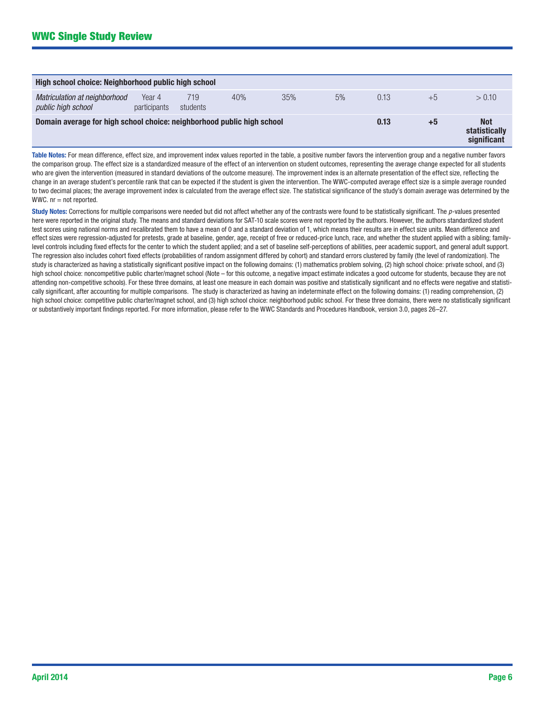| High school choice: Neighborhood public high school                    |                        |                 |     |     |      |      |                                            |        |
|------------------------------------------------------------------------|------------------------|-----------------|-----|-----|------|------|--------------------------------------------|--------|
| Matriculation at neighborhood<br>public high school                    | Year 4<br>participants | 719<br>students | 40% | 35% | 5%   | 0.13 | $+5$                                       | > 0.10 |
| Domain average for high school choice: neighborhood public high school |                        |                 |     |     | 0.13 | $+5$ | <b>Not</b><br>statistically<br>significant |        |

Table Notes: For mean difference, effect size, and improvement index values reported in the table, a positive number favors the intervention group and a negative number favors the comparison group. The effect size is a standardized measure of the effect of an intervention on student outcomes, representing the average change expected for all students who are given the intervention (measured in standard deviations of the outcome measure). The improvement index is an alternate presentation of the effect size, reflecting the change in an average student's percentile rank that can be expected if the student is given the intervention. The WWC-computed average effect size is a simple average rounded to two decimal places; the average improvement index is calculated from the average effect size. The statistical significance of the study's domain average was determined by the WWC.  $nr = not$  reported.

Study Notes: Corrections for multiple comparisons were needed but did not affect whether any of the contrasts were found to be statistically significant. The p-values presented here were reported in the original study. The means and standard deviations for SAT-10 scale scores were not reported by the authors. However, the authors standardized student test scores using national norms and recalibrated them to have a mean of 0 and a standard deviation of 1, which means their results are in effect size units. Mean difference and effect sizes were regression-adjusted for pretests, grade at baseline, gender, age, receipt of free or reduced-price lunch, race, and whether the student applied with a sibling; familylevel controls including fixed effects for the center to which the student applied; and a set of baseline self-perceptions of abilities, peer academic support, and general adult support. The regression also includes cohort fixed effects (probabilities of random assignment differed by cohort) and standard errors clustered by family (the level of randomization). The study is characterized as having a statistically significant positive impact on the following domains: (1) mathematics problem solving, (2) high school choice: private school, and (3) high school choice: noncompetitive public charter/magnet school (Note – for this outcome, a negative impact estimate indicates a good outcome for students, because they are not attending non-competitive schools). For these three domains, at least one measure in each domain was positive and statistically significant and no effects were negative and statistically significant, after accounting for multiple comparisons. The study is characterized as having an indeterminate effect on the following domains: (1) reading comprehension, (2) high school choice: competitive public charter/magnet school, and (3) high school choice: neighborhood public school. For these three domains, there were no statistically significant or substantively important findings reported. For more information, please refer to the WWC Standards and Procedures Handbook, version 3.0, pages 26–27.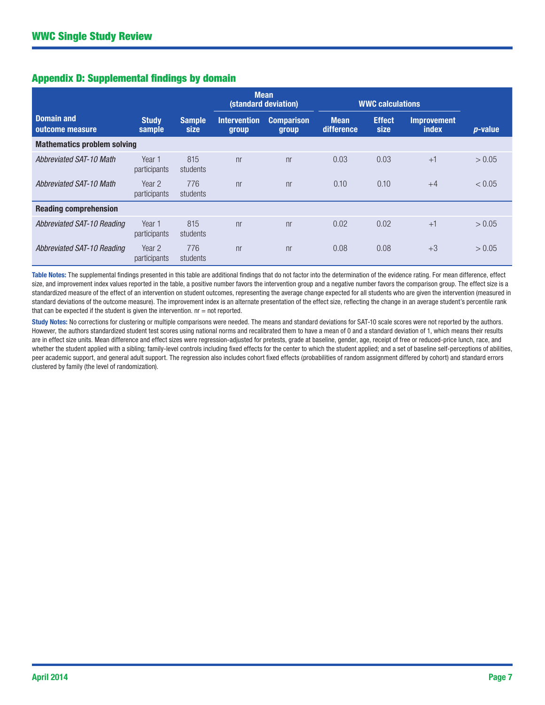# Appendix D: Supplemental findings by domain

|                                      |                        |                       | <b>Mean</b><br>(standard deviation) |                            | <b>WWC calculations</b>   |                       |                                    |            |
|--------------------------------------|------------------------|-----------------------|-------------------------------------|----------------------------|---------------------------|-----------------------|------------------------------------|------------|
| <b>Domain and</b><br>outcome measure | <b>Study</b><br>sample | <b>Sample</b><br>size | <b>Intervention</b><br>group        | <b>Comparison</b><br>group | <b>Mean</b><br>difference | <b>Effect</b><br>size | <b>Improvement</b><br><i>index</i> | $p$ -value |
| <b>Mathematics problem solving</b>   |                        |                       |                                     |                            |                           |                       |                                    |            |
| <b>Abbreviated SAT-10 Math</b>       | Year 1<br>participants | 815<br>students       | n <sub>r</sub>                      | n <sub>r</sub>             | 0.03                      | 0.03                  | $+1$                               | > 0.05     |
| Abbreviated SAT-10 Math              | Year 2<br>participants | 776<br>students       | n <sub>r</sub>                      | n <sub>r</sub>             | 0.10                      | 0.10                  | $+4$                               | < 0.05     |
| <b>Reading comprehension</b>         |                        |                       |                                     |                            |                           |                       |                                    |            |
| Abbreviated SAT-10 Reading           | Year 1<br>participants | 815<br>students       | n <sub>r</sub>                      | n <sub>r</sub>             | 0.02                      | 0.02                  | $+1$                               | > 0.05     |
| Abbreviated SAT-10 Reading           | Year 2<br>participants | 776<br>students       | n <sub>r</sub>                      | n <sub>r</sub>             | 0.08                      | 0.08                  | $+3$                               | > 0.05     |

Table Notes: The supplemental findings presented in this table are additional findings that do not factor into the determination of the evidence rating. For mean difference, effect size, and improvement index values reported in the table, a positive number favors the intervention group and a negative number favors the comparison group. The effect size is a standardized measure of the effect of an intervention on student outcomes, representing the average change expected for all students who are given the intervention (measured in standard deviations of the outcome measure). The improvement index is an alternate presentation of the effect size, reflecting the change in an average student's percentile rank that can be expected if the student is given the intervention.  $nr = not$  reported.

Study Notes: No corrections for clustering or multiple comparisons were needed. The means and standard deviations for SAT-10 scale scores were not reported by the authors. However, the authors standardized student test scores using national norms and recalibrated them to have a mean of 0 and a standard deviation of 1, which means their results are in effect size units. Mean difference and effect sizes were regression-adjusted for pretests, grade at baseline, gender, age, receipt of free or reduced-price lunch, race, and whether the student applied with a sibling; family-level controls including fixed effects for the center to which the student applied; and a set of baseline self-perceptions of abilities, peer academic support, and general adult support. The regression also includes cohort fixed effects (probabilities of random assignment differed by cohort) and standard errors clustered by family (the level of randomization).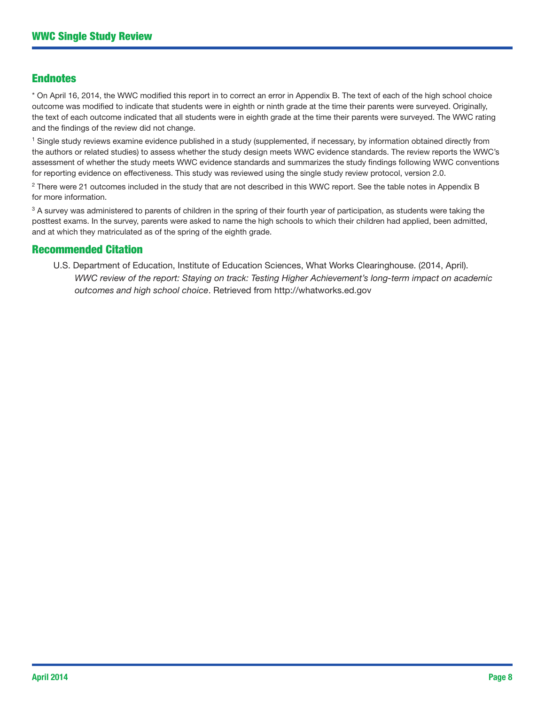# Endnotes

\* On April 16, 2014, the WWC modified this report in to correct an error in Appendix B. The text of each of the high school choice outcome was modified to indicate that students were in eighth or ninth grade at the time their parents were surveyed. Originally, the text of each outcome indicated that all students were in eighth grade at the time their parents were surveyed. The WWC rating and the findings of the review did not change.

1 Single study reviews examine evidence published in a study (supplemented, if necessary, by information obtained directly from the authors or related studies) to assess whether the study design meets WWC evidence standards. The review reports the WWC's assessment of whether the study meets WWC evidence standards and summarizes the study findings following WWC conventions for reporting evidence on effectiveness. This study was reviewed using the single study review protocol, version 2.0.

<sup>2</sup> There were 21 outcomes included in the study that are not described in this WWC report. See the table notes in Appendix B for more information.

<sup>3</sup> A survey was administered to parents of children in the spring of their fourth year of participation, as students were taking the posttest exams. In the survey, parents were asked to name the high schools to which their children had applied, been admitted, and at which they matriculated as of the spring of the eighth grade.

# Recommended Citation

U.S. Department of Education, Institute of Education Sciences, What Works Clearinghouse. (2014, April). *WWC review of the report: Staying on track: Testing Higher Achievement's long-term impact on academic outcomes and high school choice*. Retrieved from<http://whatworks.ed.gov>